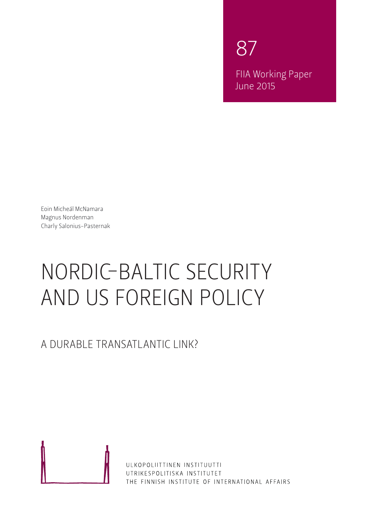87 FIIA Working Paper June 2015

Eoin Micheál McNamara Magnus Nordenman Charly Salonius-Pasternak

# NORDIC-BALTIC SECURITY AND US FOREIGN POLICY

A DURABLE TRANSATLANTIC LINK?



ULKOPOLIITTINEN INSTITUUTTI UTRIKESPOLITISKA INSTITUTET THE FINNISH INSTITUTE OF INTERNATIONAL AFFAIRS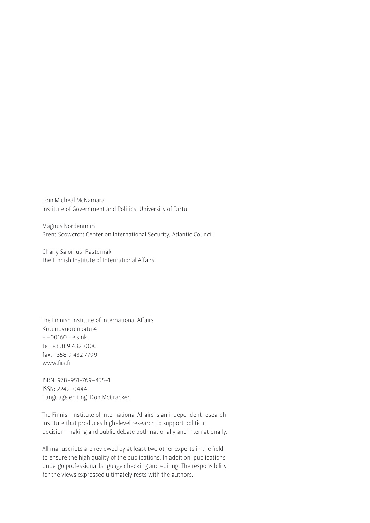Eoin Micheál McNamara Institute of Government and Politics, University of Tartu

Magnus Nordenman Brent Scowcroft Center on International Security, Atlantic Council

Charly Salonius-Pasternak The Finnish Institute of International Affairs

The Finnish Institute of International Affairs Kruunuvuorenkatu 4 FI-00160 Helsinki tel. +358 9 432 7000 fax. +358 9 432 7799 www.fiia.fi

ISBN: 978-951-769-455-1 ISSN: 2242-0444 Language editing: Don McCracken

The Finnish Institute of International Affairs is an independent research institute that produces high-level research to support political decision-making and public debate both nationally and internationally.

All manuscripts are reviewed by at least two other experts in the field to ensure the high quality of the publications. In addition, publications undergo professional language checking and editing. The responsibility for the views expressed ultimately rests with the authors.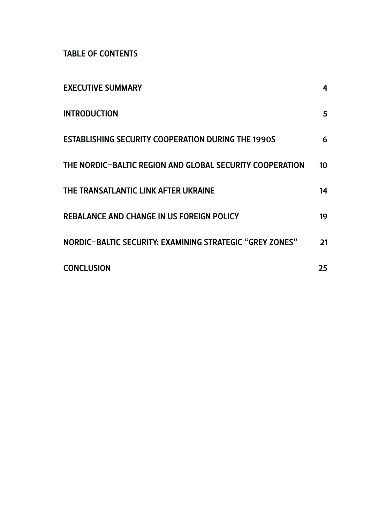TABLE OF CONTENTS

| <b>EXECUTIVE SUMMARY</b>                                  | 4  |
|-----------------------------------------------------------|----|
| <b>INTRODUCTION</b>                                       | 5  |
| <b>ESTABLISHING SECURITY COOPERATION DURING THE 1990S</b> | 6  |
| THE NORDIC-BALTIC REGION AND GLOBAL SECURITY COOPERATION  | 10 |
| THE TRANSATLANTIC LINK AFTER UKRAINE                      | 14 |
| <b>REBALANCE AND CHANGE IN US FOREIGN POLICY</b>          | 19 |
| NORDIC-BALTIC SECURITY: EXAMINING STRATEGIC "GREY ZONES"  | 21 |
| <b>CONCLUSION</b>                                         | 25 |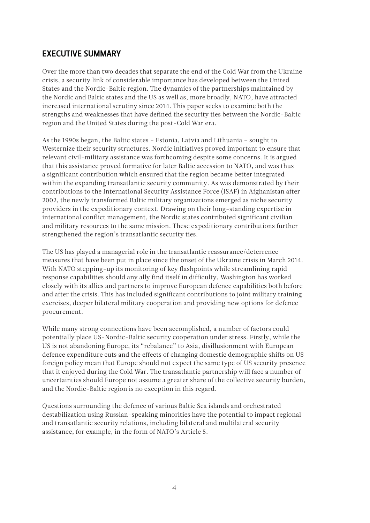### <span id="page-3-0"></span>EXECUTIVE SUMMARY

Over the more than two decades that separate the end of the Cold War from the Ukraine crisis, a security link of considerable importance has developed between the United States and the Nordic-Baltic region. The dynamics of the partnerships maintained by the Nordic and Baltic states and the US as well as, more broadly, NATO, have attracted increased international scrutiny since 2014. This paper seeks to examine both the strengths and weaknesses that have defined the security ties between the Nordic-Baltic region and the United States during the post-Cold War era.

As the 1990s began, the Baltic states – Estonia, Latvia and Lithuania – sought to Westernize their security structures. Nordic initiatives proved important to ensure that relevant civil-military assistance was forthcoming despite some concerns. It is argued that this assistance proved formative for later Baltic accession to NATO, and was thus a significant contribution which ensured that the region became better integrated within the expanding transatlantic security community. As was demonstrated by their contributions to the International Security Assistance Force (ISAF) in Afghanistan after 2002, the newly transformed Baltic military organizations emerged as niche security providers in the expeditionary context. Drawing on their long-standing expertise in international conflict management, the Nordic states contributed significant civilian and military resources to the same mission. These expeditionary contributions further strengthened the region's transatlantic security ties.

The US has played a managerial role in the transatlantic reassurance/deterrence measures that have been put in place since the onset of the Ukraine crisis in March 2014. With NATO stepping-up its monitoring of key flashpoints while streamlining rapid response capabilities should any ally find itself in difficulty, Washington has worked closely with its allies and partners to improve European defence capabilities both before and after the crisis. This has included significant contributions to joint military training exercises, deeper bilateral military cooperation and providing new options for defence procurement.

While many strong connections have been accomplished, a number of factors could potentially place US-Nordic-Baltic security cooperation under stress. Firstly, while the US is not abandoning Europe, its "rebalance" to Asia, disillusionment with European defence expenditure cuts and the effects of changing domestic demographic shifts on US foreign policy mean that Europe should not expect the same type of US security presence that it enjoyed during the Cold War. The transatlantic partnership will face a number of uncertainties should Europe not assume a greater share of the collective security burden, and the Nordic-Baltic region is no exception in this regard.

Questions surrounding the defence of various Baltic Sea islands and orchestrated destabilization using Russian-speaking minorities have the potential to impact regional and transatlantic security relations, including bilateral and multilateral security assistance, for example, in the form of NATO's Article 5.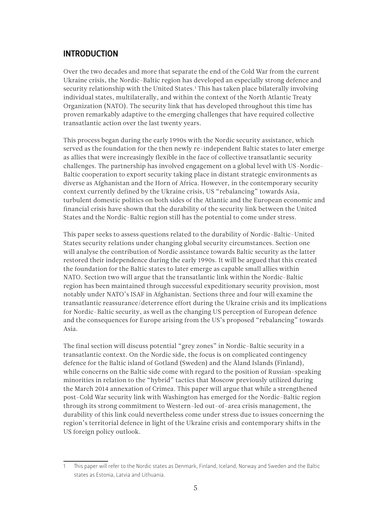#### <span id="page-4-0"></span>INTRODUCTION

Over the two decades and more that separate the end of the Cold War from the current Ukraine crisis, the Nordic-Baltic region has developed an especially strong defence and security relationship with the United States.<sup>1</sup> This has taken place bilaterally involving individual states, multilaterally, and within the context of the North Atlantic Treaty Organization (NATO). The security link that has developed throughout this time has proven remarkably adaptive to the emerging challenges that have required collective transatlantic action over the last twenty years.

This process began during the early 1990s with the Nordic security assistance, which served as the foundation for the then newly re-independent Baltic states to later emerge as allies that were increasingly flexible in the face of collective transatlantic security challenges. The partnership has involved engagement on a global level with US-Nordic-Baltic cooperation to export security taking place in distant strategic environments as diverse as Afghanistan and the Horn of Africa. However, in the contemporary security context currently defined by the Ukraine crisis, US "rebalancing" towards Asia, turbulent domestic politics on both sides of the Atlantic and the European economic and financial crisis have shown that the durability of the security link between the United States and the Nordic-Baltic region still has the potential to come under stress.

This paper seeks to assess questions related to the durability of Nordic-Baltic-United States security relations under changing global security circumstances. Section one will analyse the contribution of Nordic assistance towards Baltic security as the latter restored their independence during the early 1990s. It will be argued that this created the foundation for the Baltic states to later emerge as capable small allies within NATO. Section two will argue that the transatlantic link within the Nordic-Baltic region has been maintained through successful expeditionary security provision, most notably under NATO's ISAF in Afghanistan. Sections three and four will examine the transatlantic reassurance/deterrence effort during the Ukraine crisis and its implications for Nordic-Baltic security, as well as the changing US perception of European defence and the consequences for Europe arising from the US's proposed "rebalancing" towards Asia.

The final section will discuss potential "grey zones" in Nordic-Baltic security in a transatlantic context. On the Nordic side, the focus is on complicated contingency defence for the Baltic island of Gotland (Sweden) and the Åland Islands (Finland), while concerns on the Baltic side come with regard to the position of Russian-speaking minorities in relation to the "hybrid" tactics that Moscow previously utilized during the March 2014 annexation of Crimea. This paper will argue that while a strengthened post-Cold War security link with Washington has emerged for the Nordic-Baltic region through its strong commitment to Western-led out-of-area crisis management, the durability of this link could nevertheless come under stress due to issues concerning the region's territorial defence in light of the Ukraine crisis and contemporary shifts in the US foreign policy outlook.

<sup>1</sup> This paper will refer to the Nordic states as Denmark, Finland, Iceland, Norway and Sweden and the Baltic states as Estonia, Latvia and Lithuania.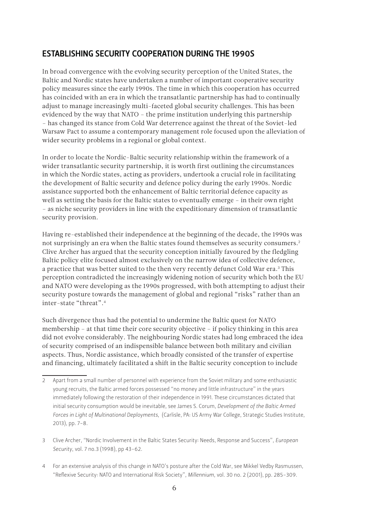## <span id="page-5-0"></span>ESTABLISHING SECURITY COOPERATION DURING THE 1990S

In broad convergence with the evolving security perception of the United States, the Baltic and Nordic states have undertaken a number of important cooperative security policy measures since the early 1990s. The time in which this cooperation has occurred has coincided with an era in which the transatlantic partnership has had to continually adjust to manage increasingly multi-faceted global security challenges. This has been evidenced by the way that NATO – the prime institution underlying this partnership – has changed its stance from Cold War deterrence against the threat of the Soviet-led Warsaw Pact to assume a contemporary management role focused upon the alleviation of wider security problems in a regional or global context.

In order to locate the Nordic-Baltic security relationship within the framework of a wider transatlantic security partnership, it is worth first outlining the circumstances in which the Nordic states, acting as providers, undertook a crucial role in facilitating the development of Baltic security and defence policy during the early 1990s. Nordic assistance supported both the enhancement of Baltic territorial defence capacity as well as setting the basis for the Baltic states to eventually emerge – in their own right – as niche security providers in line with the expeditionary dimension of transatlantic security provision.

Having re-established their independence at the beginning of the decade, the 1990s was not surprisingly an era when the Baltic states found themselves as security consumers.2 Clive Archer has argued that the security conception initially favoured by the fledgling Baltic policy elite focused almost exclusively on the narrow idea of collective defence, a practice that was better suited to the then very recently defunct Cold War era.<sup>3</sup> This perception contradicted the increasingly widening notion of security which both the EU and NATO were developing as the 1990s progressed, with both attempting to adjust their security posture towards the management of global and regional "risks" rather than an inter-state "threat".4

Such divergence thus had the potential to undermine the Baltic quest for NATO membership – at that time their core security objective – if policy thinking in this area did not evolve considerably. The neighbouring Nordic states had long embraced the idea of security comprised of an indispensible balance between both military and civilian aspects. Thus, Nordic assistance, which broadly consisted of the transfer of expertise and financing, ultimately facilitated a shift in the Baltic security conception to include

4 For an extensive analysis of this change in NATO's posture after the Cold War, see Mikkel Vedby Rasmussen, "Reflexive Security: NATO and International Risk Society", *Millennium*, vol. 30 no. 2 (2001), pp. 285-309.

<sup>2</sup> Apart from a small number of personnel with experience from the Soviet military and some enthusiastic young recruits, the Baltic armed forces possessed "no money and little infrastructure" in the years immediately following the restoration of their independence in 1991. These circumstances dictated that initial security consumption would be inevitable, see James S. Corum, *Development of the Baltic Armed Forces in Light of Multinational Deployments*, (Carlisle, PA: US Army War College, Strategic Studies Institute, 2013), pp. 7-8.

<sup>3</sup> Clive Archer, "Nordic Involvement in the Baltic States Security: Needs, Response and Success", *European Security*, vol. 7 no.3 (1998), pp 43-62.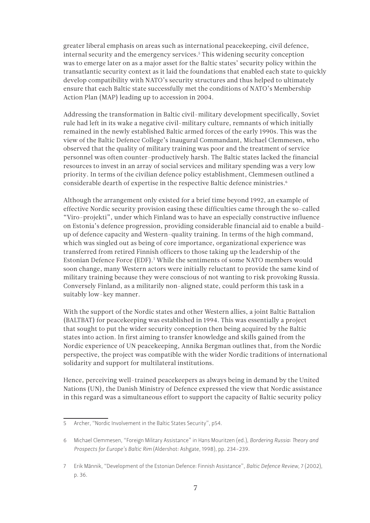greater liberal emphasis on areas such as international peacekeeping, civil defence, internal security and the emergency services.5 This widening security conception was to emerge later on as a major asset for the Baltic states' security policy within the transatlantic security context as it laid the foundations that enabled each state to quickly develop compatibility with NATO's security structures and thus helped to ultimately ensure that each Baltic state successfully met the conditions of NATO's Membership Action Plan (MAP) leading up to accession in 2004.

Addressing the transformation in Baltic civil-military development specifically, Soviet rule had left in its wake a negative civil-military culture, remnants of which initially remained in the newly established Baltic armed forces of the early 1990s. This was the view of the Baltic Defence College's inaugural Commandant, Michael Clemmesen, who observed that the quality of military training was poor and the treatment of service personnel was often counter-productively harsh. The Baltic states lacked the financial resources to invest in an array of social services and military spending was a very low priority. In terms of the civilian defence policy establishment, Clemmesen outlined a considerable dearth of expertise in the respective Baltic defence ministries.<sup>6</sup>

Although the arrangement only existed for a brief time beyond 1992, an example of effective Nordic security provision easing these difficulties came through the so-called "Viro-projekti", under which Finland was to have an especially constructive influence on Estonia's defence progression, providing considerable financial aid to enable a buildup of defence capacity and Western-quality training. In terms of the high command, which was singled out as being of core importance, organizational experience was transferred from retired Finnish officers to those taking up the leadership of the Estonian Defence Force (EDF).7 While the sentiments of some NATO members would soon change, many Western actors were initially reluctant to provide the same kind of military training because they were conscious of not wanting to risk provoking Russia. Conversely Finland, as a militarily non-aligned state, could perform this task in a suitably low-key manner.

With the support of the Nordic states and other Western allies, a joint Baltic Battalion (BALTBAT) for peacekeeping was established in 1994. This was essentially a project that sought to put the wider security conception then being acquired by the Baltic states into action. In first aiming to transfer knowledge and skills gained from the Nordic experience of UN peacekeeping, Annika Bergman outlines that, from the Nordic perspective, the project was compatible with the wider Nordic traditions of international solidarity and support for multilateral institutions.

Hence, perceiving well-trained peacekeepers as always being in demand by the United Nations (UN), the Danish Ministry of Defence expressed the view that Nordic assistance in this regard was a simultaneous effort to support the capacity of Baltic security policy

<sup>5</sup> Archer, "Nordic Involvement in the Baltic States Security", p54.

<sup>6</sup> Michael Clemmesen, "Foreign Military Assistance" in Hans Mouritzen (ed.), *Bordering Russia: Theory and Prospects for Europe's Baltic Rim* (Aldershot: Ashgate, 1998), pp. 234-239.

<sup>7</sup> Erik Männik, "Development of the Estonian Defence: Finnish Assistance", *Baltic Defence Review*, 7 (2002), p. 36.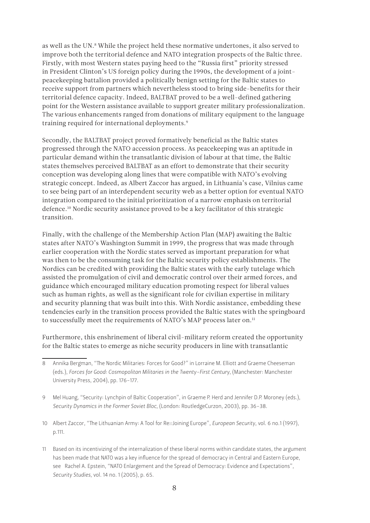as well as the UN.<sup>8</sup> While the project held these normative undertones, it also served to improve both the territorial defence and NATO integration prospects of the Baltic three. Firstly, with most Western states paying heed to the "Russia first" priority stressed in President Clinton's US foreign policy during the 1990s, the development of a jointpeacekeeping battalion provided a politically benign setting for the Baltic states to receive support from partners which nevertheless stood to bring side-benefits for their territorial defence capacity. Indeed, BALTBAT proved to be a well-defined gathering point for the Western assistance available to support greater military professionalization. The various enhancements ranged from donations of military equipment to the language training required for international deployments.9

Secondly, the BALTBAT project proved formatively beneficial as the Baltic states progressed through the NATO accession process. As peacekeeping was an aptitude in particular demand within the transatlantic division of labour at that time, the Baltic states themselves perceived BALTBAT as an effort to demonstrate that their security conception was developing along lines that were compatible with NATO's evolving strategic concept. Indeed, as Albert Zaccor has argued, in Lithuania's case, Vilnius came to see being part of an interdependent security web as a better option for eventual NATO integration compared to the initial prioritization of a narrow emphasis on territorial defence.10 Nordic security assistance proved to be a key facilitator of this strategic transition.

Finally, with the challenge of the Membership Action Plan (MAP) awaiting the Baltic states after NATO's Washington Summit in 1999, the progress that was made through earlier cooperation with the Nordic states served as important preparation for what was then to be the consuming task for the Baltic security policy establishments. The Nordics can be credited with providing the Baltic states with the early tutelage which assisted the promulgation of civil and democratic control over their armed forces, and guidance which encouraged military education promoting respect for liberal values such as human rights, as well as the significant role for civilian expertise in military and security planning that was built into this. With Nordic assistance, embedding these tendencies early in the transition process provided the Baltic states with the springboard to successfully meet the requirements of NATO's MAP process later on.<sup>11</sup>

Furthermore, this enshrinement of liberal civil-military reform created the opportunity for the Baltic states to emerge as niche security producers in line with transatlantic

- 9 Mel Huang, "Security: Lynchpin of Baltic Cooperation", in Graeme P. Herd and Jennifer D.P. Moroney (eds.), *Security Dynamics in the Former Soviet Bloc*, (London: RoutledgeCurzon, 2003), pp. 36-38.
- 10 Albert Zaccor, "The Lithuanian Army: A Tool for Re Joining Europe", *European Security*, vol. 6 no.1 (1997), p.111.
- 11 Based on its incentivizing of the internalization of these liberal norms within candidate states, the argument has been made that NATO was a key influence for the spread of democracy in Central and Eastern Europe, see Rachel A. Epstein, "NATO Enlargement and the Spread of Democracy: Evidence and Expectations", *Security Studies*, vol. 14 no. 1 (2005), p. 65.

<sup>8</sup> Annika Bergman, "The Nordic Militaries: Forces for Good?" in Lorraine M. Elliott and Graeme Cheeseman (eds.), *Forces for Good: Cosmopolitan Militaries in the Twenty-First Century*, (Manchester: Manchester University Press, 2004), pp. 176-177.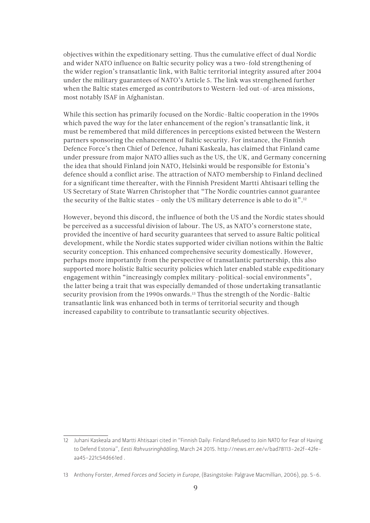objectives within the expeditionary setting. Thus the cumulative effect of dual Nordic and wider NATO influence on Baltic security policy was a two-fold strengthening of the wider region's transatlantic link, with Baltic territorial integrity assured after 2004 under the military guarantees of NATO's Article 5. The link was strengthened further when the Baltic states emerged as contributors to Western-led out-of-area missions, most notably ISAF in Afghanistan.

While this section has primarily focused on the Nordic-Baltic cooperation in the 1990s which paved the way for the later enhancement of the region's transatlantic link, it must be remembered that mild differences in perceptions existed between the Western partners sponsoring the enhancement of Baltic security. For instance, the Finnish Defence Force's then Chief of Defence, Juhani Kaskeala, has claimed that Finland came under pressure from major NATO allies such as the US, the UK, and Germany concerning the idea that should Finland join NATO, Helsinki would be responsible for Estonia's defence should a conflict arise. The attraction of NATO membership to Finland declined for a significant time thereafter, with the Finnish President Martti Ahtisaari telling the US Secretary of State Warren Christopher that "The Nordic countries cannot guarantee the security of the Baltic states - only the US military deterrence is able to do it".<sup>12</sup>

However, beyond this discord, the influence of both the US and the Nordic states should be perceived as a successful division of labour. The US, as NATO's cornerstone state, provided the incentive of hard security guarantees that served to assure Baltic political development, while the Nordic states supported wider civilian notions within the Baltic security conception. This enhanced comprehensive security domestically. However, perhaps more importantly from the perspective of transatlantic partnership, this also supported more holistic Baltic security policies which later enabled stable expeditionary engagement within "increasingly complex military-political-social environments", the latter being a trait that was especially demanded of those undertaking transatlantic security provision from the 1990s onwards.<sup>13</sup> Thus the strength of the Nordic-Baltic transatlantic link was enhanced both in terms of territorial security and though increased capability to contribute to transatlantic security objectives.

<sup>12</sup> Juhani Kaskeala and Martti Ahtisaari cited in "Finnish Daily: Finland Refused to Join NATO for Fear of Having to Defend Estonia", *Eesti Rahvusringhääling*, March 24 2015. http://news.err.ee/v/bad78113-2e2f-42feaa45-221c54d661ed .

<sup>13</sup> Anthony Forster, *Armed Forces and Society in Europe*, (Basingstoke: Palgrave Macmillian, 2006), pp. 5-6.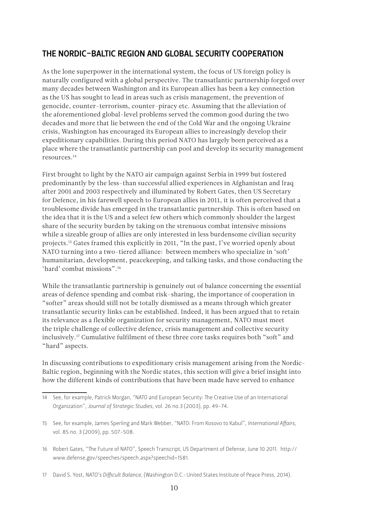# <span id="page-9-0"></span>THE NORDIC-BALTIC REGION AND GLOBAL SECURITY COOPERATION

As the lone superpower in the international system, the focus of US foreign policy is naturally configured with a global perspective. The transatlantic partnership forged over many decades between Washington and its European allies has been a key connection as the US has sought to lead in areas such as crisis management, the prevention of genocide, counter-terrorism, counter-piracy etc. Assuming that the alleviation of the aforementioned global-level problems served the common good during the two decades and more that lie between the end of the Cold War and the ongoing Ukraine crisis, Washington has encouraged its European allies to increasingly develop their expeditionary capabilities. During this period NATO has largely been perceived as a place where the transatlantic partnership can pool and develop its security management resources.14

First brought to light by the NATO air campaign against Serbia in 1999 but fostered predominantly by the less-than successful allied experiences in Afghanistan and Iraq after 2001 and 2003 respectively and illuminated by Robert Gates, then US Secretary for Defence, in his farewell speech to European allies in 2011, it is often perceived that a troublesome divide has emerged in the transatlantic partnership. This is often based on the idea that it is the US and a select few others which commonly shoulder the largest share of the security burden by taking on the strenuous combat intensive missions while a sizeable group of allies are only interested in less burdensome civilian security projects.15 Gates framed this explicitly in 2011, "In the past, I've worried openly about NATO turning into a two-tiered alliance: between members who specialize in 'soft' humanitarian, development, peacekeeping, and talking tasks, and those conducting the 'hard' combat missions".16

While the transatlantic partnership is genuinely out of balance concerning the essential areas of defence spending and combat risk-sharing, the importance of cooperation in "softer" areas should still not be totally dismissed as a means through which greater transatlantic security links can be established. Indeed, it has been argued that to retain its relevance as a flexible organization for security management, NATO must meet the triple challenge of collective defence, crisis management and collective security inclusively.17 Cumulative fulfilment of these three core tasks requires both "soft" and "hard" aspects.

In discussing contributions to expeditionary crisis management arising from the Nordic-Baltic region, beginning with the Nordic states, this section will give a brief insight into how the different kinds of contributions that have been made have served to enhance

<sup>14</sup> See, for example, Patrick Morgan, "NATO and European Security: The Creative Use of an International Organization", *Journal of Strategic Studies*, vol. 26 no.3 (2003), pp. 49-74.

<sup>15</sup> See, for example, James Sperling and Mark Webber, "NATO: From Kosovo to Kabul", *International Affairs*, vol. 85 no. 3 (2009), pp. 507-508.

<sup>16</sup> Robert Gates, "The Future of NATO", Speech Transcript, US Department of Defense, June 10 2011. http:// www.defense.gov/speeches/speech.aspx?speechid=1581.

<sup>17</sup> David S. Yost, *NATO's Difficult Balance*, (Washington D.C.: United States Institute of Peace Press, 2014).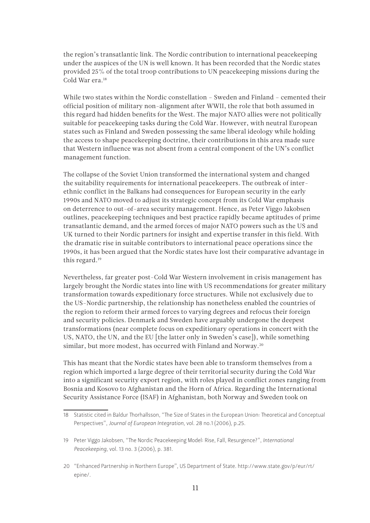the region's transatlantic link. The Nordic contribution to international peacekeeping under the auspices of the UN is well known. It has been recorded that the Nordic states provided 25% of the total troop contributions to UN peacekeeping missions during the Cold War era.<sup>18</sup>

While two states within the Nordic constellation – Sweden and Finland – cemented their official position of military non-alignment after WWII, the role that both assumed in this regard had hidden benefits for the West. The major NATO allies were not politically suitable for peacekeeping tasks during the Cold War. However, with neutral European states such as Finland and Sweden possessing the same liberal ideology while holding the access to shape peacekeeping doctrine, their contributions in this area made sure that Western influence was not absent from a central component of the UN's conflict management function.

The collapse of the Soviet Union transformed the international system and changed the suitability requirements for international peacekeepers. The outbreak of interethnic conflict in the Balkans had consequences for European security in the early 1990s and NATO moved to adjust its strategic concept from its Cold War emphasis on deterrence to out-of-area security management. Hence, as Peter Viggo Jakobsen outlines, peacekeeping techniques and best practice rapidly became aptitudes of prime transatlantic demand, and the armed forces of major NATO powers such as the US and UK turned to their Nordic partners for insight and expertise transfer in this field. With the dramatic rise in suitable contributors to international peace operations since the 1990s, it has been argued that the Nordic states have lost their comparative advantage in this regard.19

Nevertheless, far greater post-Cold War Western involvement in crisis management has largely brought the Nordic states into line with US recommendations for greater military transformation towards expeditionary force structures. While not exclusively due to the US-Nordic partnership, the relationship has nonetheless enabled the countries of the region to reform their armed forces to varying degrees and refocus their foreign and security policies. Denmark and Sweden have arguably undergone the deepest transformations (near complete focus on expeditionary operations in concert with the US, NATO, the UN, and the EU [the latter only in Sweden's case]), while something similar, but more modest, has occurred with Finland and Norway.<sup>20</sup>

This has meant that the Nordic states have been able to transform themselves from a region which imported a large degree of their territorial security during the Cold War into a significant security export region, with roles played in conflict zones ranging from Bosnia and Kosovo to Afghanistan and the Horn of Africa. Regarding the International Security Assistance Force (ISAF) in Afghanistan, both Norway and Sweden took on

<sup>18</sup> Statistic cited in Baldur Thorhallsson, "The Size of States in the European Union: Theoretical and Conceptual Perspectives", *Journal of European Integration*, vol. 28 no.1 (2006), p.25.

<sup>19</sup> Peter Viggo Jakobsen, "The Nordic Peacekeeping Model: Rise, Fall, Resurgence?", *International Peacekeeping*, vol. 13 no. 3 (2006), p. 381.

<sup>20</sup> "Enhanced Partnership in Northern Europe", US Department of State. http://www.state.gov/p/eur/rt/ epine/.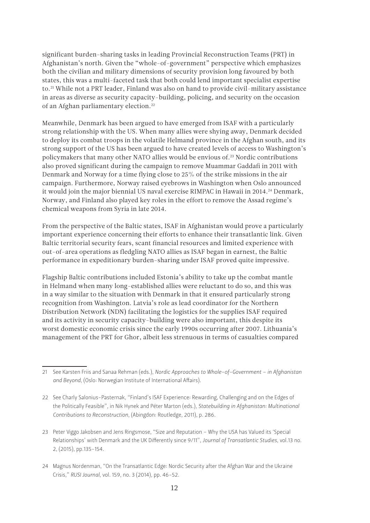significant burden-sharing tasks in leading Provincial Reconstruction Teams (PRT) in Afghanistan's north. Given the "whole-of-government" perspective which emphasizes both the civilian and military dimensions of security provision long favoured by both states, this was a multi-faceted task that both could lend important specialist expertise to.<sup>21</sup> While not a PRT leader, Finland was also on hand to provide civil-military assistance in areas as diverse as security capacity-building, policing, and security on the occasion of an Afghan parliamentary election.22

Meanwhile, Denmark has been argued to have emerged from ISAF with a particularly strong relationship with the US. When many allies were shying away, Denmark decided to deploy its combat troops in the volatile Helmand province in the Afghan south, and its strong support of the US has been argued to have created levels of access to Washington's policymakers that many other NATO allies would be envious of.23 Nordic contributions also proved significant during the campaign to remove Muammar Gaddafi in 2011 with Denmark and Norway for a time flying close to 25% of the strike missions in the air campaign. Furthermore, Norway raised eyebrows in Washington when Oslo announced it would join the major biennial US naval exercise RIMPAC in Hawaii in 2014.<sup>24</sup> Denmark, Norway, and Finland also played key roles in the effort to remove the Assad regime's chemical weapons from Syria in late 2014.

From the perspective of the Baltic states, ISAF in Afghanistan would prove a particularly important experience concerning their efforts to enhance their transatlantic link. Given Baltic territorial security fears, scant financial resources and limited experience with out-of-area operations as fledgling NATO allies as ISAF began in earnest, the Baltic performance in expeditionary burden-sharing under ISAF proved quite impressive.

Flagship Baltic contributions included Estonia's ability to take up the combat mantle in Helmand when many long-established allies were reluctant to do so, and this was in a way similar to the situation with Denmark in that it ensured particularly strong recognition from Washington. Latvia's role as lead coordinator for the Northern Distribution Network (NDN) facilitating the logistics for the supplies ISAF required and its activity in security capacity-building were also important, this despite its worst domestic economic crisis since the early 1990s occurring after 2007. Lithuania's management of the PRT for Ghor, albeit less strenuous in terms of casualties compared

<sup>21</sup> See Karsten Friis and Sanaa Rehman (eds.), *Nordic Approaches to Whole-of-Government – in Afghanistan and Beyond*, (Oslo: Norwegian Institute of International Affairs).

<sup>22</sup> See Charly Salonius-Pasternak, "Finland's ISAF Experience: Rewarding, Challenging and on the Edges of the Politically Feasible", in Nik Hynek and Péter Marton (eds.), *Statebuilding in Afghanistan: Multinational Contributions to Reconstruction*, (Abingdon: Routledge, 2011), p. 286.

<sup>23</sup> Peter Viggo Jakobsen and Jens Ringsmose, "Size and Reputation – Why the USA has Valued its 'Special Relationships' with Denmark and the UK Differently since 9/11", *Journal of Transatlantic Studies*, vol.13 no. 2, (2015), pp.135-154.

<sup>24</sup> Magnus Nordenman, "On the Transatlantic Edge: Nordic Security after the Afghan War and the Ukraine Crisis," *RUSI Journal*, vol. 159, no. 3 (2014), pp. 46-52.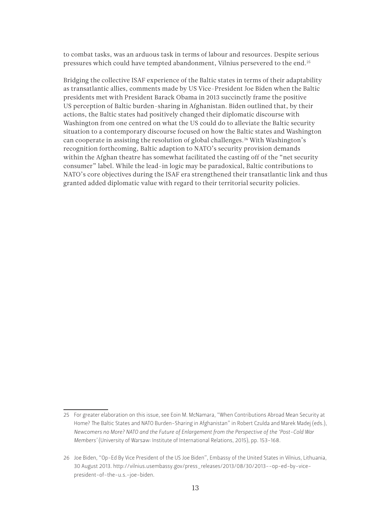to combat tasks, was an arduous task in terms of labour and resources. Despite serious pressures which could have tempted abandonment, Vilnius persevered to the end.25

Bridging the collective ISAF experience of the Baltic states in terms of their adaptability as transatlantic allies, comments made by US Vice-President Joe Biden when the Baltic presidents met with President Barack Obama in 2013 succinctly frame the positive US perception of Baltic burden-sharing in Afghanistan. Biden outlined that, by their actions, the Baltic states had positively changed their diplomatic discourse with Washington from one centred on what the US could do to alleviate the Baltic security situation to a contemporary discourse focused on how the Baltic states and Washington can cooperate in assisting the resolution of global challenges.26 With Washington's recognition forthcoming, Baltic adaption to NATO's security provision demands within the Afghan theatre has somewhat facilitated the casting off of the "net security consumer" label. While the lead-in logic may be paradoxical, Baltic contributions to NATO's core objectives during the ISAF era strengthened their transatlantic link and thus granted added diplomatic value with regard to their territorial security policies.

<sup>25</sup> For greater elaboration on this issue, see Eoin M. McNamara, "When Contributions Abroad Mean Security at Home? The Baltic States and NATO Burden-Sharing in Afghanistan" in Robert Czulda and Marek Madej (eds.), *Newcomers no More? NATO and the Future of Enlargement from the Perspective of the 'Post-Cold War Members'* (University of Warsaw: Institute of International Relations, 2015), pp. 153-168.

<sup>26</sup> Joe Biden, "Op-Ed By Vice President of the US Joe Biden", Embassy of the United States in Vilnius, Lithuania, 30 August 2013. http://vilnius.usembassy.gov/press\_releases/2013/08/30/2013--op-ed-by-vicepresident-of-the-u.s.-joe-biden.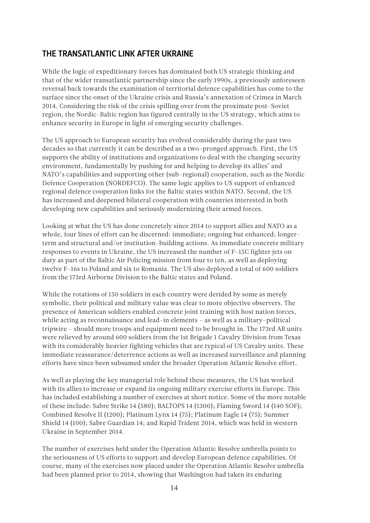## <span id="page-13-0"></span>THE TRANSATLANTIC LINK AFTER UKRAINE

While the logic of expeditionary forces has dominated both US strategic thinking and that of the wider transatlantic partnership since the early 1990s, a previously unforeseen reversal back towards the examination of territorial defence capabilities has come to the surface since the onset of the Ukraine crisis and Russia's annexation of Crimea in March 2014. Considering the risk of the crisis spilling over from the proximate post-Soviet region, the Nordic-Baltic region has figured centrally in the US strategy, which aims to enhance security in Europe in light of emerging security challenges.

The US approach to European security has evolved considerably during the past two decades so that currently it can be described as a two-pronged approach. First, the US supports the ability of institutions and organizations to deal with the changing security environment, fundamentally by pushing for and helping to develop its allies' and NATO's capabilities and supporting other (sub-regional) cooperation, such as the Nordic Defence Cooperation (NORDEFCO). The same logic applies to US support of enhanced regional defence cooperation links for the Baltic states within NATO. Second, the US has increased and deepened bilateral cooperation with countries interested in both developing new capabilities and seriously modernizing their armed forces.

Looking at what the US has done concretely since 2014 to support allies and NATO as a whole, four lines of effort can be discerned: immediate; ongoing but enhanced; longerterm and structural and/or institution-building actions. As immediate concrete military responses to events in Ukraine, the US increased the number of F-15C fighter jets on duty as part of the Baltic Air Policing mission from four to ten, as well as deploying twelve F-16s to Poland and six to Romania. The US also deployed a total of 600 soldiers from the 173rd Airborne Division to the Baltic states and Poland.

While the rotations of 150 soldiers in each country were derided by some as merely symbolic, their political and military value was clear to more objective observers. The presence of American soldiers enabled concrete joint training with host nation forces, while acting as reconnaissance and lead-in elements – as well as a military-political tripwire – should more troops and equipment need to be brought in. The 173rd AB units were relieved by around 600 soldiers from the 1st Brigade 1 Cavalry Division from Texas with its considerably heavier fighting vehicles that are typical of US Cavalry units. These immediate reassurance/deterrence actions as well as increased surveillance and planning efforts have since been subsumed under the broader Operation Atlantic Resolve effort.

As well as playing the key managerial role behind these measures, the US has worked with its allies to increase or expand its ongoing military exercise efforts in Europe. This has included establishing a number of exercises at short notice. Some of the more notable of these include: Sabre Strike 14 (580); BALTOPS 14 (1300); Flaming Sword 14 (140 SOF); Combined Resolve II (1200); Platinum Lynx 14 (75); Platinum Eagle 14 (75); Summer Shield 14 (100); Sabre Guardian 14; and Rapid Trident 2014, which was held in western Ukraine in September 2014.

The number of exercises held under the Operation Atlantic Resolve umbrella points to the seriousness of US efforts to support and develop European defence capabilities. Of course, many of the exercises now placed under the Operation Atlantic Resolve umbrella had been planned prior to 2014, showing that Washington had taken its enduring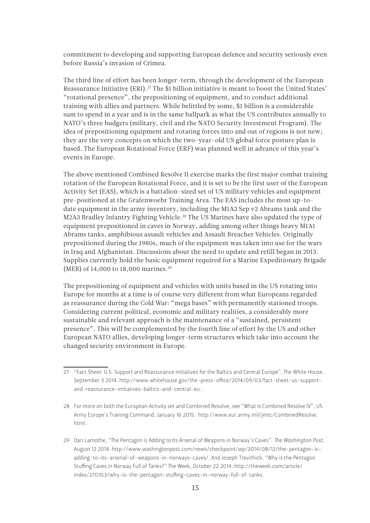commitment to developing and supporting European defence and security seriously even before Russia's invasion of Crimea.

The third line of effort has been longer-term, through the development of the European Reassurance Initiative (ERI).<sup>27</sup> The \$1 billion initiative is meant to boost the United States' "rotational presence", the prepositioning of equipment, and to conduct additional training with allies and partners. While belittled by some, \$1 billion is a considerable sum to spend in a year and is in the same ballpark as what the US contributes annually to NATO's three budgets (military, civil and the NATO Security Investment Program). The idea of prepositioning equipment and rotating forces into and out of regions is not new; they are the very concepts on which the two-year-old US global force posture plan is based. The European Rotational Force (ERF) was planned well in advance of this year's events in Europe.

The above mentioned Combined Resolve II exercise marks the first major combat training rotation of the European Rotational Force, and it is set to be the first user of the European Activity Set (EAS), which is a battalion-sized set of US military vehicles and equipment pre-positioned at the Grafenwoehr Training Area. The EAS includes the most up-todate equipment in the army inventory, including the M1A2 Sep v2 Abrams tank and the M2A3 Bradley Infantry Fighting Vehicle.<sup>28</sup> The US Marines have also updated the type of equipment prepositioned in caves in Norway, adding among other things heavy M1A1 Abrams tanks, amphibious assault vehicles and Assault Breacher Vehicles. Originally prepositioned during the 1980s, much of the equipment was taken into use for the wars in Iraq and Afghanistan. Discussions about the need to update and refill began in 2013. Supplies currently hold the basic equipment required for a Marine Expeditionary Brigade (MEB) of 14,000 to 18,000 marines.<sup>29</sup>

The prepositioning of equipment and vehicles with units based in the US rotating into Europe for months at a time is of course very different from what Europeans regarded as reassurance during the Cold War: "mega bases" with permanently stationed troops. Considering current political, economic and military realities, a considerably more sustainable and relevant approach is the maintenance of a "sustained, persistent presence". This will be complemented by the fourth line of effort by the US and other European NATO allies, developing longer-term structures which take into account the changed security environment in Europe.

<sup>27</sup> "Fact Sheet: U.S. Support and Reassurance Initiatives for the Baltics and Central Europe", The White House, September 3 2014. [http://www.whitehouse.gov/the-press-office/2014/09/03/fact-sheet-us-support](http://www.whitehouse.gov/the-press-office/2014/09/03/fact-sheet-us-support-and-reassurance-initiatives-baltics-and-central-eu)[and-reassurance-initiatives-baltics-and-central-eu](http://www.whitehouse.gov/the-press-office/2014/09/03/fact-sheet-us-support-and-reassurance-initiatives-baltics-and-central-eu) .

<sup>28</sup> For more on both the European Activity set and Combined Resolve, see "What Is Combined Resolve IV", US Army Europe's Training Command, January 16 2015. [http://www.eur.army.mil/jmtc/CombinedResolve.](http://www.eur.army.mil/jmtc/CombinedResolve.html) [html](http://www.eur.army.mil/jmtc/CombinedResolve.html) .

<sup>29</sup> Dan Lamothe, "The Pentagon is Adding to Its Arsenal of Weapons in Norway's Caves". *The Washington Post*, August 12 2014. [http://www.washingtonpost.com/news/checkpoint/wp/2014/08/12/the-pentagon-is](http://www.washingtonpost.com/news/checkpoint/wp/2014/08/12/the-pentagon-is-adding-to-its-arsenal-of-weapons-in-norways-caves/)[adding-to-its-arsenal-of-weapons-in-norways-caves/.](http://www.washingtonpost.com/news/checkpoint/wp/2014/08/12/the-pentagon-is-adding-to-its-arsenal-of-weapons-in-norways-caves/) And Joseph Trevithick, "Why is the Pentagon Stuffing Caves in Norway Full of Tanks?" The Week, October 22 2014. [http://theweek.com/article/](http://theweek.com/article/index/270353/why-is-the-pentagon-stuffing-caves-in-norway-full-of-tanks) [index/270353/why-is-the-pentagon-stuffing-caves-in-norway-full-of-tanks](http://theweek.com/article/index/270353/why-is-the-pentagon-stuffing-caves-in-norway-full-of-tanks).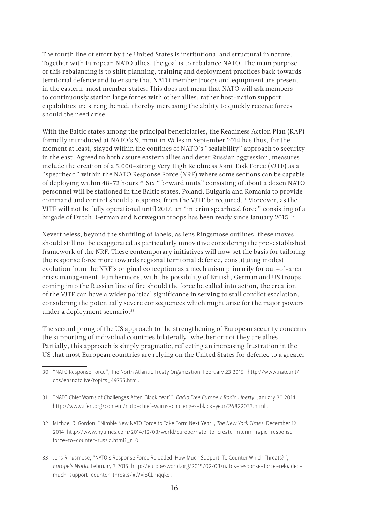The fourth line of effort by the United States is institutional and structural in nature. Together with European NATO allies, the goal is to rebalance NATO. The main purpose of this rebalancing is to shift planning, training and deployment practices back towards territorial defence and to ensure that NATO member troops and equipment are present in the eastern-most member states. This does not mean that NATO will ask members to continuously station large forces with other allies; rather host-nation support capabilities are strengthened, thereby increasing the ability to quickly receive forces should the need arise.

With the Baltic states among the principal beneficiaries, the Readiness Action Plan (RAP) formally introduced at NATO's Summit in Wales in September 2014 has thus, for the moment at least, stayed within the confines of NATO's "scalability" approach to security in the east. Agreed to both assure eastern allies and deter Russian aggression, measures include the creation of a 5,000-strong Very High Readiness Joint Task Force (VJTF) as a "spearhead" within the NATO Response Force (NRF) where some sections can be capable of deploying within 48-72 hours.30 Six "forward units" consisting of about a dozen NATO personnel will be stationed in the Baltic states, Poland, Bulgaria and Romania to provide command and control should a response from the VJTF be required.31 Moreover, as the VJTF will not be fully operational until 2017, an "interim spearhead force" consisting of a brigade of Dutch, German and Norwegian troops has been ready since January 2015.<sup>32</sup>

Nevertheless, beyond the shuffling of labels, as Jens Ringsmose outlines, these moves should still not be exaggerated as particularly innovative considering the pre-established framework of the NRF. These contemporary initiatives will now set the basis for tailoring the response force more towards regional territorial defence, constituting modest evolution from the NRF's original conception as a mechanism primarily for out-of-area crisis management. Furthermore, with the possibility of British, German and US troops coming into the Russian line of fire should the force be called into action, the creation of the VJTF can have a wider political significance in serving to stall conflict escalation, considering the potentially severe consequences which might arise for the major powers under a deployment scenario.<sup>33</sup>

The second prong of the US approach to the strengthening of European security concerns the supporting of individual countries bilaterally, whether or not they are allies. Partially, this approach is simply pragmatic, reflecting an increasing frustration in the US that most European countries are relying on the United States for defence to a greater

<sup>30</sup> "NATO Response Force", The North Atlantic Treaty Organization, February 23 2015. http://www.nato.int/ cps/en/natolive/topics\_49755.htm .

<sup>31</sup> "NATO Chief Warns of Challenges After 'Black Year'", *Radio Free Europe / Radio Liberty*, January 30 2014. http://www.rferl.org/content/nato-chief-warns-challenges-black-year/26822033.html .

<sup>32</sup> Michael R. Gordon, "Nimble New NATO Force to Take Form Next Year", *The New York Times*, December 12 2014. http://www.nytimes.com/2014/12/03/world/europe/nato-to-create-interim-rapid-responseforce-to-counter-russia.html?\_r=0.

<sup>33</sup> Jens Ringsmose, "NATO's Response Force Reloaded: How Much Support, To Counter Which Threats?", *Europe's World*, February 3 2015. http://europesworld.org/2015/02/03/natos-response-force-reloadedmuch-support-counter-threats/#.VVi8CLmqqko .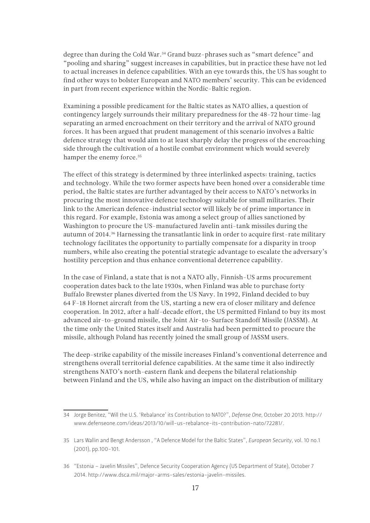degree than during the Cold War.<sup>34</sup> Grand buzz-phrases such as "smart defence" and "pooling and sharing" suggest increases in capabilities, but in practice these have not led to actual increases in defence capabilities. With an eye towards this, the US has sought to find other ways to bolster European and NATO members' security. This can be evidenced in part from recent experience within the Nordic-Baltic region.

Examining a possible predicament for the Baltic states as NATO allies, a question of contingency largely surrounds their military preparedness for the 48-72 hour time-lag separating an armed encroachment on their territory and the arrival of NATO ground forces. It has been argued that prudent management of this scenario involves a Baltic defence strategy that would aim to at least sharply delay the progress of the encroaching side through the cultivation of a hostile combat environment which would severely hamper the enemy force.<sup>35</sup>

The effect of this strategy is determined by three interlinked aspects: training, tactics and technology. While the two former aspects have been honed over a considerable time period, the Baltic states are further advantaged by their access to NATO's networks in procuring the most innovative defence technology suitable for small militaries. Their link to the American defence-industrial sector will likely be of prime importance in this regard. For example, Estonia was among a select group of allies sanctioned by Washington to procure the US-manufactured Javelin anti-tank missiles during the autumn of 2014.36 Harnessing the transatlantic link in order to acquire first-rate military technology facilitates the opportunity to partially compensate for a disparity in troop numbers, while also creating the potential strategic advantage to escalate the adversary's hostility perception and thus enhance conventional deterrence capability.

In the case of Finland, a state that is not a NATO ally, Finnish-US arms procurement cooperation dates back to the late 1930s, when Finland was able to purchase forty Buffalo Brewster planes diverted from the US Navy. In 1992, Finland decided to buy 64 F-18 Hornet aircraft from the US, starting a new era of closer military and defence cooperation. In 2012, after a half-decade effort, the US permitted Finland to buy its most advanced air-to-ground missile, the Joint Air-to-Surface Standoff Missile (JASSM). At the time only the United States itself and Australia had been permitted to procure the missile, although Poland has recently joined the small group of JASSM users.

The deep-strike capability of the missile increases Finland's conventional deterrence and strengthens overall territorial defence capabilities. At the same time it also indirectly strengthens NATO's north-eastern flank and deepens the bilateral relationship between Finland and the US, while also having an impact on the distribution of military

<sup>34</sup> Jorge Benitez, "Will the U.S. 'Rebalance' its Contribution to NATO?", *Defense One*, October 20 2013. [http://](http://www.defenseone.com/ideas/2013/10/will-us-rebalance-its-contribution-nato/72281/) [www.defenseone.com/ideas/2013/10/will-us-rebalance-its-contribution-nato/72281/.](http://www.defenseone.com/ideas/2013/10/will-us-rebalance-its-contribution-nato/72281/)

<sup>35</sup> Lars Wallin and Bengt Andersson , "A Defence Model for the Baltic States", *European Security*, vol. 10 no.1 (2001), pp.100-101.

<sup>36</sup> "Estonia – Javelin Missiles", Defence Security Cooperation Agency (US Department of State), October 7 2014. http://www.dsca.mil/major-arms-sales/estonia-javelin-missiles.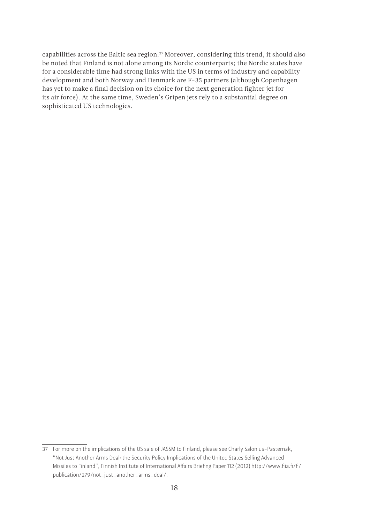capabilities across the Baltic sea region.<sup>37</sup> Moreover, considering this trend, it should also be noted that Finland is not alone among its Nordic counterparts; the Nordic states have for a considerable time had strong links with the US in terms of industry and capability development and both Norway and Denmark are F-35 partners (although Copenhagen has yet to make a final decision on its choice for the next generation fighter jet for its air force). At the same time, Sweden's Gripen jets rely to a substantial degree on sophisticated US technologies.

<sup>37</sup> For more on the implications of the US sale of JASSM to Finland, please see Charly Salonius-Pasternak, "Not Just Another Arms Deal: the Security Policy Implications of the United States Selling Advanced Missiles to Finland", Finnish Institute of International Affairs Briefing Paper 112 (2012) [http://www.fiia.fi/fi/](http://www.fiia.fi/fi/publication/279/not_just_another_arms_deal/) [publication/279/not\\_just\\_another\\_arms\\_deal/.](http://www.fiia.fi/fi/publication/279/not_just_another_arms_deal/)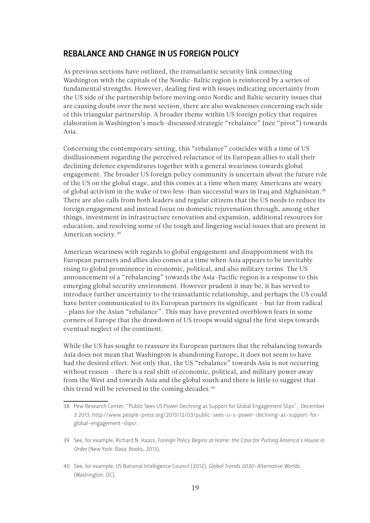#### <span id="page-18-0"></span>REBALANCE AND CHANGE IN US FOREIGN POLICY

As previous sections have outlined, the transatlantic security link connecting Washington with the capitals of the Nordic-Baltic region is reinforced by a series of fundamental strengths. However, dealing first with issues indicating uncertainty from the US side of the partnership before moving onto Nordic and Baltic security issues that are causing doubt over the next section, there are also weaknesses concerning each side of this triangular partnership. A broader theme within US foreign policy that requires elaboration is Washington's much-discussed strategic "rebalance" (née "pivot") towards Asia.

Concerning the contemporary setting, this "rebalance" coincides with a time of US disillusionment regarding the perceived reluctance of its European allies to stall their declining defence expenditures together with a general weariness towards global engagement. The broader US foreign policy community is uncertain about the future role of the US on the global stage, and this comes at a time when many Americans are weary of global activism in the wake of two less-than successful wars in Iraq and Afghanistan.38 There are also calls from both leaders and regular citizens that the US needs to reduce its foreign engagement and instead focus on domestic rejuvenation through, among other things, investment in infrastructure renovation and expansion, additional resources for education, and resolving some of the tough and lingering social issues that are present in American society.39

American weariness with regards to global engagement and disappointment with its European partners and allies also comes at a time when Asia appears to be inevitably rising to global prominence in economic, political, and also military terms. The US announcement of a "rebalancing" towards the Asia-Pacific region is a response to this emerging global security environment. However prudent it may be, it has served to introduce further uncertainty to the transatlantic relationship, and perhaps the US could have better communicated to its European partners its significant – but far from radical – plans for the Asian "rebalance". This may have prevented overblown fears in some corners of Europe that the drawdown of US troops would signal the first steps towards eventual neglect of the continent.

While the US has sought to reassure its European partners that the rebalancing towards Asia does not mean that Washington is abandoning Europe, it does not seem to have had the desired effect. Not only that, the US "rebalance" towards Asia is not occurring without reason – there is a real shift of economic, political, and military power away from the West and towards Asia and the global south and there is little to suggest that this trend will be reversed in the coming decades.<sup>40</sup>

<sup>38</sup> Pew Research Center, "Public Sees US Power Declining as Support for Global Engagement Slips", December 3 2013. http://www.people-press.org/2013/12/03/public-sees-u-s-power-declining-as-support-forglobal-engagement-slips/.

<sup>39</sup> See, for example, Richard N. Haass, *Foreign Policy Begins at Home: the Case for Putting America's House in Order* (New York: Basic Books, 2013).

<sup>40</sup> See, for example, US National Intelligence Council (2012), *Global Trends 2030: Alternative Worlds* (Washington, DC).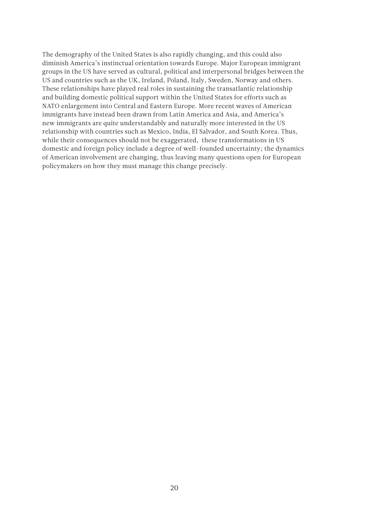The demography of the United States is also rapidly changing, and this could also diminish America's instinctual orientation towards Europe. Major European immigrant groups in the US have served as cultural, political and interpersonal bridges between the US and countries such as the UK, Ireland, Poland, Italy, Sweden, Norway and others. These relationships have played real roles in sustaining the transatlantic relationship and building domestic political support within the United States for efforts such as NATO enlargement into Central and Eastern Europe. More recent waves of American immigrants have instead been drawn from Latin America and Asia, and America's new immigrants are quite understandably and naturally more interested in the US relationship with countries such as Mexico, India, El Salvador, and South Korea. Thus, while their consequences should not be exaggerated, these transformations in US domestic and foreign policy include a degree of well-founded uncertainty; the dynamics of American involvement are changing, thus leaving many questions open for European policymakers on how they must manage this change precisely.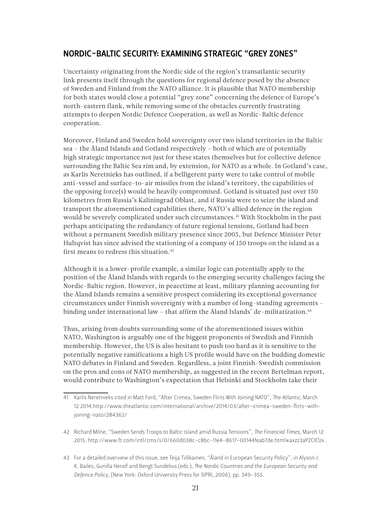#### <span id="page-20-0"></span>NORDIC-BALTIC SECURITY: EXAMINING STRATEGIC "GREY ZONES"

Uncertainty originating from the Nordic side of the region's transatlantic security link presents itself through the questions for regional defence posed by the absence of Sweden and Finland from the NATO alliance. It is plausible that NATO membership for both states would close a potential "grey zone" concerning the defence of Europe's north-eastern flank, while removing some of the obstacles currently frustrating attempts to deepen Nordic Defence Cooperation, as well as Nordic-Baltic defence cooperation.

Moreover, Finland and Sweden hold sovereignty over two island territories in the Baltic sea – the Åland Islands and Gotland respectively – both of which are of potentially high strategic importance not just for these states themselves but for collective defence surrounding the Baltic Sea rim and, by extension, for NATO as a whole. In Gotland's case, as Karlis Neretnieks has outlined, if a belligerent party were to take control of mobile anti-vessel and surface-to-air missiles from the island's territory, the capabilities of the opposing force(s) would be heavily compromised. Gotland is situated just over 150 kilometres from Russia's Kaliningrad Oblast, and if Russia were to seize the island and transport the aforementioned capabilities there, NATO's allied defence in the region would be severely complicated under such circumstances.<sup>41</sup> With Stockholm in the past perhaps anticipating the redundancy of future regional tensions, Gotland had been without a permanent Swedish military presence since 2005, but Defence Minister Peter Hultqvist has since advised the stationing of a company of 150 troops on the island as a first means to redress this situation.<sup>42</sup>

Although it is a lower-profile example, a similar logic can potentially apply to the position of the Åland Islands with regards to the emerging security challenges facing the Nordic-Baltic region. However, in peacetime at least, military planning accounting for the Åland Islands remains a sensitive prospect considering its exceptional governance circumstances under Finnish sovereignty with a number of long-standing agreements – binding under international law – that affirm the Åland Islands' de-militarization.<sup>43</sup>

Thus, arising from doubts surrounding some of the aforementioned issues within NATO, Washington is arguably one of the biggest proponents of Swedish and Finnish membership. However, the US is also hesitant to push too hard as it is sensitive to the potentially negative ramifications a high US profile would have on the budding domestic NATO debates in Finland and Sweden. Regardless, a joint Finnish-Swedish commission on the pros and cons of NATO membership, as suggested in the recent Bertelman report, would contribute to Washington's expectation that Helsinki and Stockholm take their

<sup>41</sup> Karlis Neretnieks cited in Matt Ford, "After Crimea, Sweden Flirts With Joining NATO", *The Atlantic*, March 12 2014.http://www.theatlantic.com/international/archive/2014/03/after-crimea-sweden-flirts-withjoining-nato/284362/

<sup>42</sup> Richard Milne, "Sweden Sends Troops to Baltic Island amid Russia Tensions", *The Financial Times*, March 12 2015. http://www.ft.com/intl/cms/s/0/660d038c-c8bc-11e4-8617-00144feab7de.html#axzz3aPZCICUv .

<sup>43</sup> For a detailed overview of this issue, see Teija Tiilikainen, "Åland in European Security Policy", in Alyson J. K. Bailes, Gunilla Herolf and Bengt Sundelius (eds.), *The Nordic Countries and the European Security and Defence Policy*, (New York: Oxford University Press for SIPRI, 2006), pp. 349-355.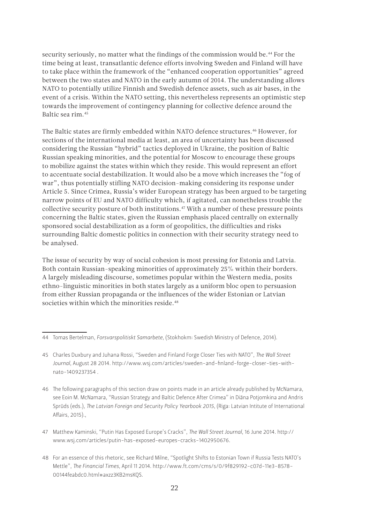security seriously, no matter what the findings of the commission would be.<sup>44</sup> For the time being at least, transatlantic defence efforts involving Sweden and Finland will have to take place within the framework of the "enhanced cooperation opportunities" agreed between the two states and NATO in the early autumn of 2014. The understanding allows NATO to potentially utilize Finnish and Swedish defence assets, such as air bases, in the event of a crisis. Within the NATO setting, this nevertheless represents an optimistic step towards the improvement of contingency planning for collective defence around the Baltic sea rim.45

The Baltic states are firmly embedded within NATO defence structures.<sup>46</sup> However, for sections of the international media at least, an area of uncertainty has been discussed considering the Russian "hybrid" tactics deployed in Ukraine, the position of Baltic Russian speaking minorities, and the potential for Moscow to encourage these groups to mobilize against the states within which they reside. This would represent an effort to accentuate social destabilization. It would also be a move which increases the "fog of war", thus potentially stifling NATO decision-making considering its response under Article 5. Since Crimea, Russia's wider European strategy has been argued to be targeting narrow points of EU and NATO difficulty which, if agitated, can nonetheless trouble the collective security posture of both institutions.<sup>47</sup> With a number of these pressure points concerning the Baltic states, given the Russian emphasis placed centrally on externally sponsored social destabilization as a form of geopolitics, the difficulties and risks surrounding Baltic domestic politics in connection with their security strategy need to be analysed.

The issue of security by way of social cohesion is most pressing for Estonia and Latvia. Both contain Russian-speaking minorities of approximately 25% within their borders. A largely misleading discourse, sometimes popular within the Western media, posits ethno-linguistic minorities in both states largely as a uniform bloc open to persuasion from either Russian propaganda or the influences of the wider Estonian or Latvian societies within which the minorities reside.<sup>48</sup>

<sup>44</sup> Tomas Bertelman, *Forsvarspolitiskt Samarbete*, (Stokhokm: Swedish Ministry of Defence, 2014).

<sup>45</sup> Charles Duxbury and Juhana Rossi, "Sweden and Finland Forge Closer Ties with NATO", *The Wall Street Journal*, August 28 2014. [http://www.wsj.com/articles/sweden-and-finland-forge-closer-ties-with](http://www.wsj.com/articles/sweden-and-finland-forge-closer-ties-with-nato-1409237354)[nato-1409237354](http://www.wsj.com/articles/sweden-and-finland-forge-closer-ties-with-nato-1409237354) .

<sup>46</sup> The following paragraphs of this section draw on points made in an article already published by McNamara, see Eoin M. McNamara, "Russian Strategy and Baltic Defence After Crimea" in Diāna Potjomkina and Andris Sprūds (eds.), *The Latvian Foreign and Security Policy Yearbook 2015*, (Riga: Latvian Intitute of International Affairs, 2015).,

<sup>47</sup> Matthew Kaminski, "Putin Has Exposed Europe's Cracks", *The Wall Street Journal*, 16 June 2014. http:// www.wsj.com/articles/putin-has-exposed-europes-cracks-1402950676.

<sup>48</sup> For an essence of this rhetoric, see Richard Milne, "Spotlight Shifts to Estonian Town if Russia Tests NATO's Mettle", *The Financial Times,* April 11 2014. http://www.ft.com/cms/s/0/9f829192-c07d-11e3-8578- 00144feabdc0.html#axzz3KB2msKQS.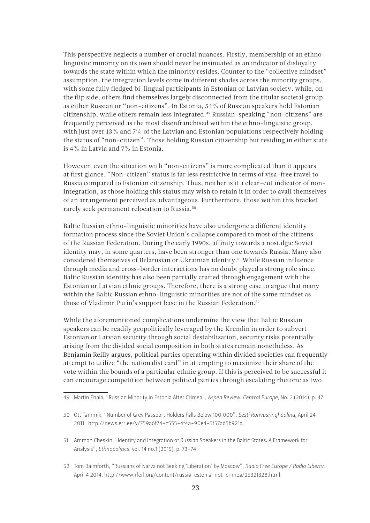This perspective neglects a number of crucial nuances. Firstly, membership of an ethnolinguistic minority on its own should never be insinuated as an indicator of disloyalty towards the state within which the minority resides. Counter to the "collective mindset" assumption, the integration levels come in different shades across the minority groups, with some fully fledged bi-lingual participants in Estonian or Latvian society, while, on the flip side, others find themselves largely disconnected from the titular societal group as either Russian or "non-citizens". In Estonia, 54% of Russian speakers hold Estonian citizenship, while others remain less integrated.49 Russian-speaking "non-citizens" are frequently perceived as the most disenfranchised within the ethno-linguistic group, with just over 13% and 7% of the Latvian and Estonian populations respectively holding the status of "non-citizen". Those holding Russian citizenship but residing in either state is 4% in Latvia and 7% in Estonia.

However, even the situation with "non-citizens" is more complicated than it appears at first glance. "Non-citizen" status is far less restrictive in terms of visa-free travel to Russia compared to Estonian citizenship. Thus, neither is it a clear-cut indicator of nonintegration, as those holding this status may wish to retain it in order to avail themselves of an arrangement perceived as advantageous. Furthermore, those within this bracket rarely seek permanent relocation to Russia.50

Baltic Russian ethno-linguistic minorities have also undergone a different identity formation process since the Soviet Union's collapse compared to most of the citizens of the Russian Federation. During the early 1990s, affinity towards a nostalgic Soviet identity may, in some quarters, have been stronger than one towards Russia. Many also considered themselves of Belarusian or Ukrainian identity.51 While Russian influence through media and cross-border interactions has no doubt played a strong role since, Baltic Russian identity has also been partially crafted through engagement with the Estonian or Latvian ethnic groups. Therefore, there is a strong case to argue that many within the Baltic Russian ethno-linguistic minorities are not of the same mindset as those of Vladimir Putin's support base in the Russian Federation.<sup>52</sup>

While the aforementioned complications undermine the view that Baltic Russian speakers can be readily geopolitically leveraged by the Kremlin in order to subvert Estonian or Latvian security through social destabilization, security risks potentially arising from the divided social composition in both states remain nonetheless. As Benjamin Reilly argues, political parties operating within divided societies can frequently attempt to utilize "the nationalist card" in attempting to maximize their share of the vote within the bounds of a particular ethnic group. If this is perceived to be successful it can encourage competition between political parties through escalating rhetoric as two

<sup>49</sup> Martin Ehala, "Russian Minority in Estonia After Crimea", *Aspen Review: Central Europe*, No. 2 (2014), p. 47.

<sup>50</sup> Ott Tammik, "Number of Grey Passport Holders Falls Below 100,000", *Eesti Rahvusringhääling*, April 24 2011. http://news.err.ee/v/759a6f74-c555-4f4a-90e4-5f57ad5b921a.

<sup>51</sup> Ammon Cheskin, "Identity and Integration of Russian Speakers in the Baltic States: A Framework for Analysis", *Ethnopolitics*, vol. 14 no.1 (2015), p. 73-74.

<sup>52</sup> Tom Balmforth, "Russians of Narva not Seeking 'Liberation' by Moscow", *Radio Free Europe / Radio Liberty,* April 4 2014. http://www.rferl.org/content/russia-estonia-not-crimea/25321328.html.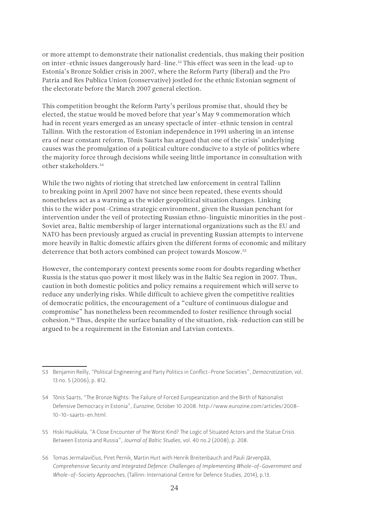or more attempt to demonstrate their nationalist credentials, thus making their position on inter-ethnic issues dangerously hard-line.<sup>53</sup> This effect was seen in the lead-up to Estonia's Bronze Soldier crisis in 2007, where the Reform Party (liberal) and the Pro Patria and Res Publica Union (conservative) jostled for the ethnic Estonian segment of the electorate before the March 2007 general election.

This competition brought the Reform Party's perilous promise that, should they be elected, the statue would be moved before that year's May 9 commemoration which had in recent years emerged as an uneasy spectacle of inter-ethnic tension in central Tallinn. With the restoration of Estonian independence in 1991 ushering in an intense era of near constant reform, Tõnis Saarts has argued that one of the crisis' underlying causes was the promulgation of a political culture conducive to a style of politics where the majority force through decisions while seeing little importance in consultation with other stakeholders.54

While the two nights of rioting that stretched law enforcement in central Tallinn to breaking point in April 2007 have not since been repeated, these events should nonetheless act as a warning as the wider geopolitical situation changes. Linking this to the wider post-Crimea strategic environment, given the Russian penchant for intervention under the veil of protecting Russian ethno-linguistic minorities in the post-Soviet area, Baltic membership of larger international organizations such as the EU and NATO has been previously argued as crucial in preventing Russian attempts to intervene more heavily in Baltic domestic affairs given the different forms of economic and military deterrence that both actors combined can project towards Moscow.55

However, the contemporary context presents some room for doubts regarding whether Russia is the status quo power it most likely was in the Baltic Sea region in 2007. Thus, caution in both domestic politics and policy remains a requirement which will serve to reduce any underlying risks. While difficult to achieve given the competitive realities of democratic politics, the encouragement of a "culture of continuous dialogue and compromise" has nonetheless been recommended to foster resilience through social cohesion.56 Thus, despite the surface banality of the situation, risk-reduction can still be argued to be a requirement in the Estonian and Latvian contexts.

<sup>53</sup> Benjamin Reilly, "Political Engineering and Party Politics in Conflict-Prone Societies", *Democratization*, vol. 13 no. 5 (2006), p. 812.

<sup>54</sup> Tõnis Saarts, "The Bronze Nights: The Failure of Forced Europeanization and the Birth of Nationalist Defensive Democracy in Estonia", *Eurozine*, October 10 2008. http://www.eurozine.com/articles/2008- 10-10-saarts-en.html.

<sup>55</sup> Hiski Haukkala, "A Close Encounter of The Worst Kind? The Logic of Situated Actors and the Statue Crisis Between Estonia and Russia", *Journal of Baltic Studies,* vol. 40 no.2 (2008), p. 208.

<sup>56</sup> Tomas Jermalavičius, Piret Pernik, Martin Hurt with Henrik Breitenbauch and Pauli Järvenpää, *Comprehensive Security and Integrated Defence: Challenges of Implementing Whole-of-Government and Whole-of-Society Approaches*, (Tallinn: International Centre for Defence Studies, 2014), p.13.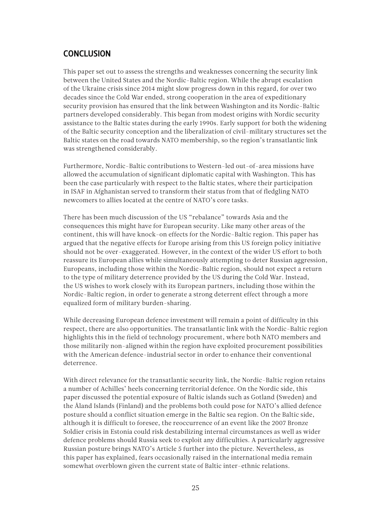# <span id="page-24-0"></span>**CONCLUSION**

This paper set out to assess the strengths and weaknesses concerning the security link between the United States and the Nordic-Baltic region. While the abrupt escalation of the Ukraine crisis since 2014 might slow progress down in this regard, for over two decades since the Cold War ended, strong cooperation in the area of expeditionary security provision has ensured that the link between Washington and its Nordic-Baltic partners developed considerably. This began from modest origins with Nordic security assistance to the Baltic states during the early 1990s. Early support for both the widening of the Baltic security conception and the liberalization of civil-military structures set the Baltic states on the road towards NATO membership, so the region's transatlantic link was strengthened considerably.

Furthermore, Nordic-Baltic contributions to Western-led out-of-area missions have allowed the accumulation of significant diplomatic capital with Washington. This has been the case particularly with respect to the Baltic states, where their participation in ISAF in Afghanistan served to transform their status from that of fledgling NATO newcomers to allies located at the centre of NATO's core tasks.

There has been much discussion of the US "rebalance" towards Asia and the consequences this might have for European security. Like many other areas of the continent, this will have knock-on effects for the Nordic-Baltic region. This paper has argued that the negative effects for Europe arising from this US foreign policy initiative should not be over-exaggerated. However, in the context of the wider US effort to both reassure its European allies while simultaneously attempting to deter Russian aggression, Europeans, including those within the Nordic-Baltic region, should not expect a return to the type of military deterrence provided by the US during the Cold War. Instead, the US wishes to work closely with its European partners, including those within the Nordic-Baltic region, in order to generate a strong deterrent effect through a more equalized form of military burden-sharing.

While decreasing European defence investment will remain a point of difficulty in this respect, there are also opportunities. The transatlantic link with the Nordic-Baltic region highlights this in the field of technology procurement, where both NATO members and those militarily non-aligned within the region have exploited procurement possibilities with the American defence-industrial sector in order to enhance their conventional deterrence.

With direct relevance for the transatlantic security link, the Nordic-Baltic region retains a number of Achilles' heels concerning territorial defence. On the Nordic side, this paper discussed the potential exposure of Baltic islands such as Gotland (Sweden) and the Åland Islands (Finland) and the problems both could pose for NATO's allied defence posture should a conflict situation emerge in the Baltic sea region. On the Baltic side, although it is difficult to foresee, the reoccurrence of an event like the 2007 Bronze Soldier crisis in Estonia could risk destabilizing internal circumstances as well as wider defence problems should Russia seek to exploit any difficulties. A particularly aggressive Russian posture brings NATO's Article 5 further into the picture. Nevertheless, as this paper has explained, fears occasionally raised in the international media remain somewhat overblown given the current state of Baltic inter-ethnic relations.